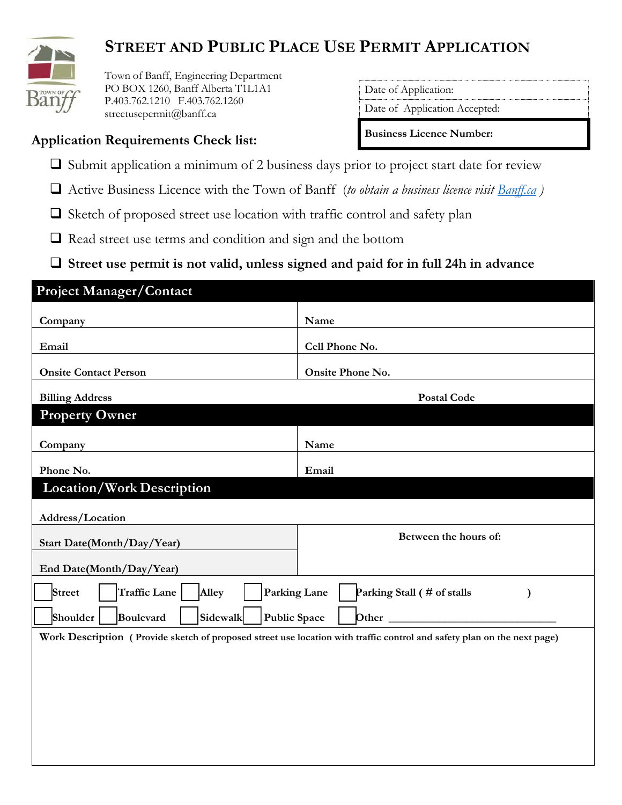

# **STREET AND PUBLIC PLACE USE PERMIT APPLICATION**

 Town of Banff, Engineering Department PO BOX 1260, Banff Alberta T1L1A1 P.403.762.1210 F.403.762.1260 streetusepermit@banff.ca

**Application Requirements Check list:** 

Date of Application:

Date of Application Accepted:

**Business Licence Number:**

- $\square$  Submit application a minimum of 2 business days prior to project start date for review
- Active Business Licence with the Town of Banff (*to obtain a business licence visit [Banff.ca](http://www.banff.ca/index.aspx?NID=669) )*
- $\square$  Sketch of proposed street use location with traffic control and safety plan
- $\Box$  Read street use terms and condition and sign and the bottom
- **Street use permit is not valid, unless signed and paid for in full 24h in advance**

| <b>Project Manager/Contact</b>                                                                                          |                                                            |  |  |  |
|-------------------------------------------------------------------------------------------------------------------------|------------------------------------------------------------|--|--|--|
| Company                                                                                                                 | Name                                                       |  |  |  |
| Email                                                                                                                   | Cell Phone No.                                             |  |  |  |
| <b>Onsite Contact Person</b>                                                                                            | Onsite Phone No.                                           |  |  |  |
| <b>Billing Address</b>                                                                                                  | <b>Postal Code</b>                                         |  |  |  |
| <b>Property Owner</b>                                                                                                   |                                                            |  |  |  |
| Company                                                                                                                 | Name                                                       |  |  |  |
| Phone No.                                                                                                               | Email                                                      |  |  |  |
| <b>Location/Work Description</b>                                                                                        |                                                            |  |  |  |
| Address/Location                                                                                                        |                                                            |  |  |  |
| <b>Start Date(Month/Day/Year)</b>                                                                                       | Between the hours of:                                      |  |  |  |
| End Date(Month/Day/Year)                                                                                                |                                                            |  |  |  |
| Street<br><b>Traffic Lane</b><br>Alley                                                                                  | Parking Lane<br>Parking Stall (# of stalls<br>$\mathcal Y$ |  |  |  |
| Sidewalk<br><b>Public Space</b><br>Shoulder<br>Boulevard<br>Other                                                       |                                                            |  |  |  |
| Work Description (Provide sketch of proposed street use location with traffic control and safety plan on the next page) |                                                            |  |  |  |
|                                                                                                                         |                                                            |  |  |  |
|                                                                                                                         |                                                            |  |  |  |
|                                                                                                                         |                                                            |  |  |  |
|                                                                                                                         |                                                            |  |  |  |
|                                                                                                                         |                                                            |  |  |  |
|                                                                                                                         |                                                            |  |  |  |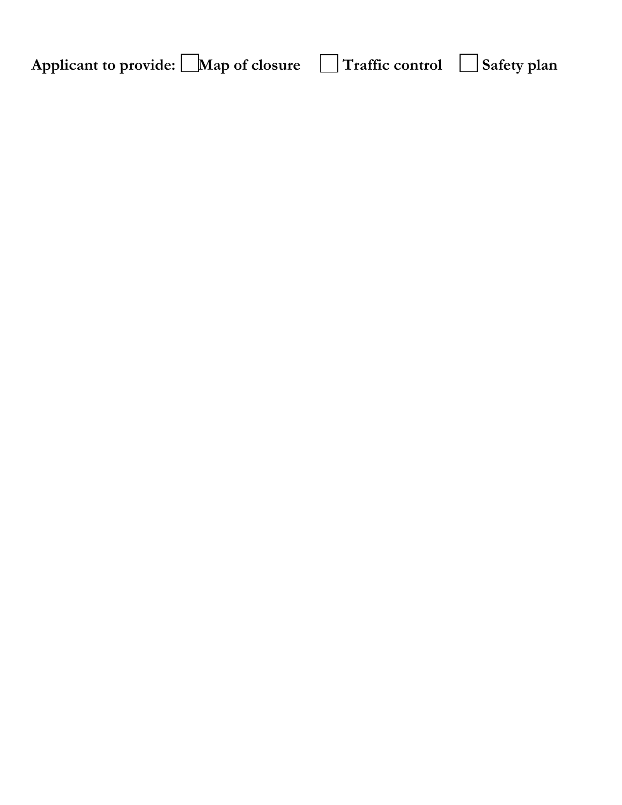| Map of closure<br>Applicant to provide: | Traffic control |  | <sup>1</sup> Safety plan |
|-----------------------------------------|-----------------|--|--------------------------|
|-----------------------------------------|-----------------|--|--------------------------|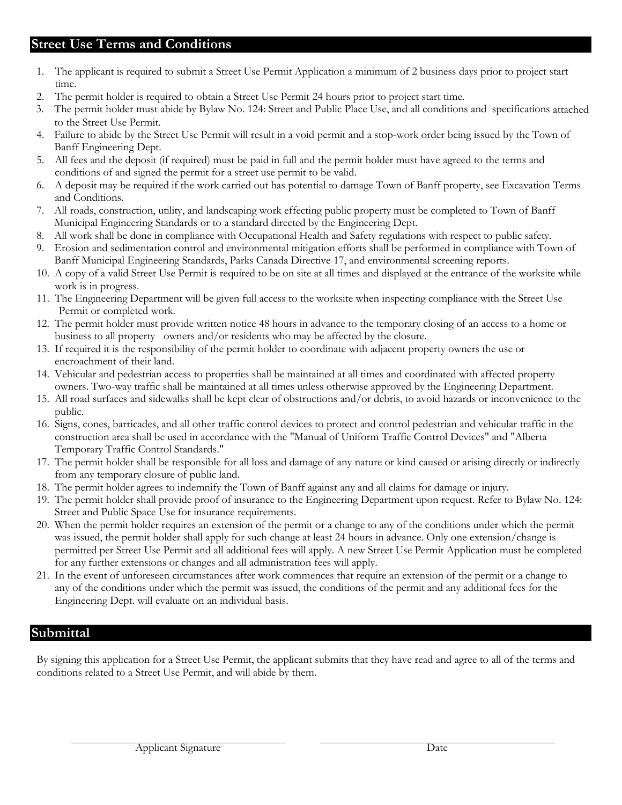### **Street Use Terms and Conditions**

- 1. The applicant is required to submit a Street Use Permit Application a minimum of 2 business days prior to project start time.
- 2. The permit holder is required to obtain a Street Use Permit 24 hours prior to project start time.
- 3. The permit holder must abide by Bylaw No. 124: Street and Public Place Use, and all conditions and specifications attached to the Street Use Permit.
- 4. Failure to abide by the Street Use Permit will result in a void permit and a stop-work order being issued by the Town of Banff Engineering Dept.
- 5. All fees and the deposit (if required) must be paid in full and the permit holder must have agreed to the terms and conditions of and signed the permit for a street use permit to be valid.
- 6. A deposit may be required if the work carried out has potential to damage Town of Banff property, see Excavation Terms and Conditions.
- 7. All roads, construction, utility, and landscaping work effecting public property must be completed to Town of Banff Municipal Engineering Standards or to a standard directed by the Engineering Dept.
- 8. All work shall be done in compliance with Occupational Health and Safety regulations with respect to public safety.
- 9. Erosion and sedimentation control and environmental mitigation efforts shall be performed in compliance with Town of Banff Municipal Engineering Standards, Parks Canada Directive 17, and environmental screening reports.
- 10. A copy of a valid Street Use Permit is required to be on site at all times and displayed at the entrance of the worksite while work is in progress.
- 11. The Engineering Department will be given full access to the worksite when inspecting compliance with the Street Use Permit or completed work.
- 12. The permit holder must provide written notice 48 hours in advance to the temporary closing of an access to a home or business to all property owners and/or residents who may be affected by the closure.
- 13. If required it is the responsibility of the permit holder to coordinate with adjacent property owners the use or encroachment of their land.
- 14. Vehicular and pedestrian access to properties shall be maintained at all times and coordinated with affected property owners. Two-way traffic shall be maintained at all times unless otherwise approved by the Engineering Department.
- 15. All road surfaces and sidewalks shall be kept clear of obstructions and/or debris, to avoid hazards or inconvenience to the public.
- 16. Signs, cones, barricades, and all other traffic control devices to protect and control pedestrian and vehicular traffic in the construction area shall be used in accordance with the "Manual of Uniform Traffic Control Devices" and "Alberta Temporary Traffic Control Standards."
- 17. The permit holder shall be responsible for all loss and damage of any nature or kind caused or arising directly or indirectly from any temporary closure of public land.
- 18. The permit holder agrees to indemnify the Town of Banff against any and all claims for damage or injury.
- 19. The permit holder shall provide proof of insurance to the Engineering Department upon request. Refer to Bylaw No. 124: Street and Public Space Use for insurance requirements.
- 20. When the permit holder requires an extension of the permit or a change to any of the conditions under which the permit was issued, the permit holder shall apply for such change at least 24 hours in advance. Only one extension/change is permitted per Street Use Permit and all additional fees will apply. A new Street Use Permit Application must be completed for any further extensions or changes and all administration fees will apply.
- 21. In the event of unforeseen circumstances after work commences that require an extension of the permit or a change to any of the conditions under which the permit was issued, the conditions of the permit and any additional fees for the Engineering Dept. will evaluate on an individual basis.

#### **Submittal**

By signing this application for a Street Use Permit, the applicant submits that they have read and agree to all of the terms and conditions related to a Street Use Permit, and will abide by them.